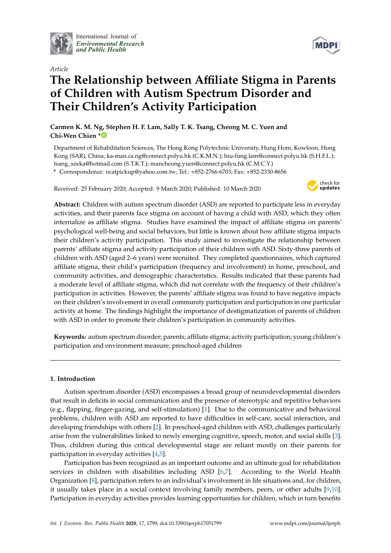

International Journal of *[Environmental Research](http://www.mdpi.com/journal/ijerph) and Public Health*



# *Article* **The Relationship between A**ffi**liate Stigma in Parents of Children with Autism Spectrum Disorder and Their Children's Activity Participation**

**Carmen K. M. Ng, Stephen H. F. Lam, Sally T. K. Tsang, Cheong M. C. Yuen and Chi-Wen Chien [\\*](https://orcid.org/0000-0002-5532-1018)**

Department of Rehabilitation Sciences, The Hong Kong Polytechnic University, Hung Hom, Kowloon, Hong Kong (SAR), China; ka-man.ca.ng@connect.polyu.hk (C.K.M.N.); hiu-fung.lam@connect.polyu.hk (S.H.F.L.); tsang\_szeka@hotmail.com (S.T.K.T.); mancheong.yuen@connect.polyu.hk (C.M.C.Y.)

**\*** Correspondence: ocatpickup@yahoo.com.tw; Tel.: +852-2766-6703; Fax: +852-2330-8656

Received: 25 February 2020; Accepted: 9 March 2020; Published: 10 March 2020



**Abstract:** Children with autism spectrum disorder (ASD) are reported to participate less in everyday activities, and their parents face stigma on account of having a child with ASD, which they often internalize as affiliate stigma. Studies have examined the impact of affiliate stigma on parents' psychological well-being and social behaviors, but little is known about how affiliate stigma impacts their children's activity participation. This study aimed to investigate the relationship between parents' affiliate stigma and activity participation of their children with ASD. Sixty-three parents of children with ASD (aged 2–6 years) were recruited. They completed questionnaires, which captured affiliate stigma, their child's participation (frequency and involvement) in home, preschool, and community activities, and demographic characteristics. Results indicated that these parents had a moderate level of affiliate stigma, which did not correlate with the frequency of their children's participation in activities. However, the parents' affiliate stigma was found to have negative impacts on their children's involvement in overall community participation and participation in one particular activity at home. The findings highlight the importance of destigmatization of parents of children with ASD in order to promote their children's participation in community activities.

**Keywords:** autism spectrum disorder; parents; affiliate stigma; activity participation; young children's participation and environment measure; preschool-aged children

# **1. Introduction**

Autism spectrum disorder (ASD) encompasses a broad group of neurodevelopmental disorders that result in deficits in social communication and the presence of stereotypic and repetitive behaviors (e.g., flapping, finger-gazing, and self-stimulation) [\[1\]](#page-10-0). Due to the communicative and behavioral problems, children with ASD are reported to have difficulties in self-care, social interaction, and developing friendships with others [\[2\]](#page-10-1). In preschool-aged children with ASD, challenges particularly arise from the vulnerabilities linked to newly emerging cognitive, speech, motor, and social skills [\[3\]](#page-10-2). Thus, children during this critical developmental stage are reliant mostly on their parents for participation in everyday activities [\[4](#page-10-3)[,5\]](#page-10-4).

Participation has been recognized as an important outcome and an ultimate goal for rehabilitation services in children with disabilities including ASD [\[6](#page-10-5)[,7\]](#page-10-6). According to the World Health Organization [\[8\]](#page-10-7), participation refers to an individual's involvement in life situations and, for children, it usually takes place in a social context involving family members, peers, or other adults [\[9,](#page-10-8)[10\]](#page-10-9). Participation in everyday activities provides learning opportunities for children, which in turn benefits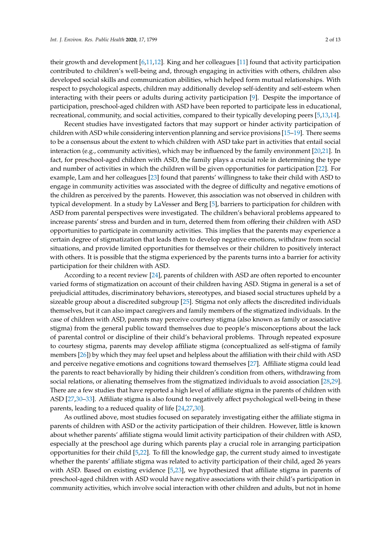their growth and development [\[6,](#page-10-5)[11,](#page-10-10)[12\]](#page-10-11). King and her colleagues [\[11\]](#page-10-10) found that activity participation contributed to children's well-being and, through engaging in activities with others, children also developed social skills and communication abilities, which helped form mutual relationships. With respect to psychological aspects, children may additionally develop self-identity and self-esteem when interacting with their peers or adults during activity participation [\[9\]](#page-10-8). Despite the importance of participation, preschool-aged children with ASD have been reported to participate less in educational, recreational, community, and social activities, compared to their typically developing peers [\[5,](#page-10-4)[13,](#page-10-12)[14\]](#page-10-13).

Recent studies have investigated factors that may support or hinder activity participation of children with ASD while considering intervention planning and service provisions [\[15](#page-10-14)[–19\]](#page-10-15). There seems to be a consensus about the extent to which children with ASD take part in activities that entail social interaction (e.g., community activities), which may be influenced by the family environment [\[20,](#page-11-0)[21\]](#page-11-1). In fact, for preschool-aged children with ASD, the family plays a crucial role in determining the type and number of activities in which the children will be given opportunities for participation [\[22\]](#page-11-2). For example, Lam and her colleagues [\[23\]](#page-11-3) found that parents' willingness to take their child with ASD to engage in community activities was associated with the degree of difficulty and negative emotions of the children as perceived by the parents. However, this association was not observed in children with typical development. In a study by LaVesser and Berg [\[5\]](#page-10-4), barriers to participation for children with ASD from parental perspectives were investigated. The children's behavioral problems appeared to increase parents' stress and burden and in turn, deterred them from offering their children with ASD opportunities to participate in community activities. This implies that the parents may experience a certain degree of stigmatization that leads them to develop negative emotions, withdraw from social situations, and provide limited opportunities for themselves or their children to positively interact with others. It is possible that the stigma experienced by the parents turns into a barrier for activity participation for their children with ASD.

According to a recent review [\[24\]](#page-11-4), parents of children with ASD are often reported to encounter varied forms of stigmatization on account of their children having ASD. Stigma in general is a set of prejudicial attitudes, discriminatory behaviors, stereotypes, and biased social structures upheld by a sizeable group about a discredited subgroup [\[25\]](#page-11-5). Stigma not only affects the discredited individuals themselves, but it can also impact caregivers and family members of the stigmatized individuals. In the case of children with ASD, parents may perceive courtesy stigma (also known as family or associative stigma) from the general public toward themselves due to people's misconceptions about the lack of parental control or discipline of their child's behavioral problems. Through repeated exposure to courtesy stigma, parents may develop affiliate stigma (conceptualized as self-stigma of family members [\[26\]](#page-11-6)) by which they may feel upset and helpless about the affiliation with their child with ASD and perceive negative emotions and cognitions toward themselves [\[27\]](#page-11-7). Affiliate stigma could lead the parents to react behaviorally by hiding their children's condition from others, withdrawing from social relations, or alienating themselves from the stigmatized individuals to avoid association [\[28](#page-11-8)[,29\]](#page-11-9). There are a few studies that have reported a high level of affiliate stigma in the parents of children with ASD [\[27,](#page-11-7)[30–](#page-11-10)[33\]](#page-11-11). Affiliate stigma is also found to negatively affect psychological well-being in these parents, leading to a reduced quality of life [\[24,](#page-11-4)[27](#page-11-7)[,30\]](#page-11-10).

As outlined above, most studies focused on separately investigating either the affiliate stigma in parents of children with ASD or the activity participation of their children. However, little is known about whether parents' affiliate stigma would limit activity participation of their children with ASD, especially at the preschool age during which parents play a crucial role in arranging participation opportunities for their child [\[5](#page-10-4)[,22\]](#page-11-2). To fill the knowledge gap, the current study aimed to investigate whether the parents' affiliate stigma was related to activity participation of their child, aged 26 years with ASD. Based on existing evidence [\[5,](#page-10-4)[23\]](#page-11-3), we hypothesized that affiliate stigma in parents of preschool-aged children with ASD would have negative associations with their child's participation in community activities, which involve social interaction with other children and adults, but not in home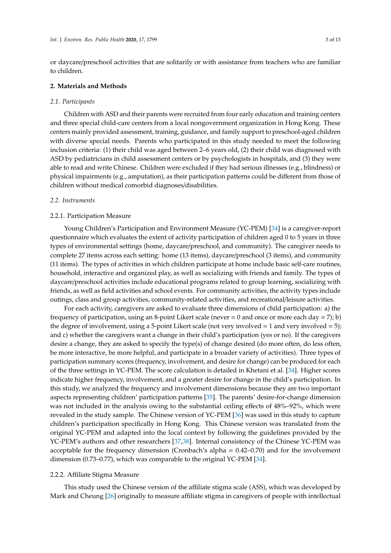or daycare/preschool activities that are solitarily or with assistance from teachers who are familiar to children.

## **2. Materials and Methods**

#### *2.1. Participants*

Children with ASD and their parents were recruited from four early education and training centers and three special child-care centers from a local nongovernment organization in Hong Kong. These centers mainly provided assessment, training, guidance, and family support to preschool-aged children with diverse special needs. Parents who participated in this study needed to meet the following inclusion criteria: (1) their child was aged between 2–6 years old, (2) their child was diagnosed with ASD by pediatricians in child assessment centers or by psychologists in hospitals, and (3) they were able to read and write Chinese. Children were excluded if they had serious illnesses (e.g., blindness) or physical impairments (e.g., amputation), as their participation patterns could be different from those of children without medical comorbid diagnoses/disabilities.

#### *2.2. Instruments*

#### 2.2.1. Participation Measure

Young Children's Participation and Environment Measure (YC-PEM) [\[34\]](#page-11-12) is a caregiver-report questionnaire which evaluates the extent of activity participation of children aged 0 to 5 years in three types of environmental settings (home, daycare/preschool, and community). The caregiver needs to complete 27 items across each setting: home (13 items), daycare/preschool (3 items), and community (11 items). The types of activities in which children participate at home include basic self-care routines, household, interactive and organized play, as well as socializing with friends and family. The types of daycare/preschool activities include educational programs related to group learning, socializing with friends, as well as field activities and school events. For community activities, the activity types include outings, class and group activities, community-related activities, and recreational/leisure activities.

For each activity, caregivers are asked to evaluate three dimensions of child participation: a) the frequency of participation, using an 8-point Likert scale (never  $= 0$  and once or more each day  $= 7$ ); b) the degree of involvement, using a 5-point Likert scale (not very involved  $= 1$  and very involved  $= 5$ ); and c) whether the caregivers want a change in their child's participation (yes or no). If the caregivers desire a change, they are asked to specify the type(s) of change desired (do more often, do less often, be more interactive, be more helpful, and participate in a broader variety of activities). Three types of participation summary scores (frequency, involvement, and desire for change) can be produced for each of the three settings in YC-PEM. The score calculation is detailed in Khetani et al. [\[34\]](#page-11-12). Higher scores indicate higher frequency, involvement, and a greater desire for change in the child's participation. In this study, we analyzed the frequency and involvement dimensions because they are two important aspects representing children' participation patterns [\[35\]](#page-11-13). The parents' desire-for-change dimension was not included in the analysis owing to the substantial ceiling effects of 48%–92%, which were revealed in the study sample. The Chinese version of YC-PEM [\[36\]](#page-11-14) was used in this study to capture children's participation specifically in Hong Kong. This Chinese version was translated from the original YC-PEM and adapted into the local context by following the guidelines provided by the YC-PEM's authors and other researchers [\[37,](#page-11-15)[38\]](#page-11-16). Internal consistency of the Chinese YC-PEM was acceptable for the frequency dimension (Cronbach's alpha = 0.42–0.70) and for the involvement dimension (0.73–0.77), which was comparable to the original YC-PEM [\[34\]](#page-11-12).

#### 2.2.2. Affiliate Stigma Measure

This study used the Chinese version of the affiliate stigma scale (ASS), which was developed by Mark and Cheung [\[26\]](#page-11-6) originally to measure affiliate stigma in caregivers of people with intellectual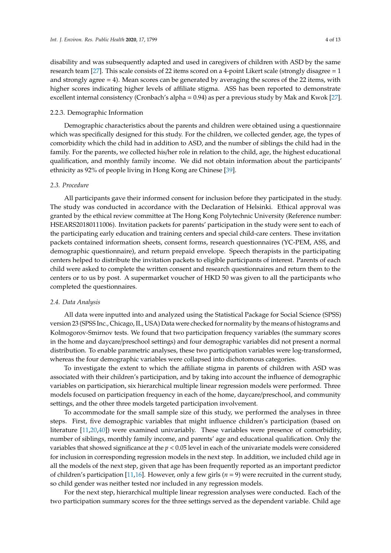disability and was subsequently adapted and used in caregivers of children with ASD by the same research team [\[27\]](#page-11-7). This scale consists of 22 items scored on a 4-point Likert scale (strongly disagree = 1 and strongly agree = 4). Mean scores can be generated by averaging the scores of the 22 items, with higher scores indicating higher levels of affiliate stigma. ASS has been reported to demonstrate excellent internal consistency (Cronbach's alpha = 0.94) as per a previous study by Mak and Kwok [\[27\]](#page-11-7).

## 2.2.3. Demographic Information

Demographic characteristics about the parents and children were obtained using a questionnaire which was specifically designed for this study. For the children, we collected gender, age, the types of comorbidity which the child had in addition to ASD, and the number of siblings the child had in the family. For the parents, we collected his/her role in relation to the child, age, the highest educational qualification, and monthly family income. We did not obtain information about the participants' ethnicity as 92% of people living in Hong Kong are Chinese [\[39\]](#page-11-17).

## *2.3. Procedure*

All participants gave their informed consent for inclusion before they participated in the study. The study was conducted in accordance with the Declaration of Helsinki. Ethical approval was granted by the ethical review committee at The Hong Kong Polytechnic University (Reference number: HSEARS20180111006). Invitation packets for parents' participation in the study were sent to each of the participating early education and training centers and special child-care centers. These invitation packets contained information sheets, consent forms, research questionnaires (YC-PEM, ASS, and demographic questionnaire), and return prepaid envelope. Speech therapists in the participating centers helped to distribute the invitation packets to eligible participants of interest. Parents of each child were asked to complete the written consent and research questionnaires and return them to the centers or to us by post. A supermarket voucher of HKD 50 was given to all the participants who completed the questionnaires.

## *2.4. Data Analysis*

All data were inputted into and analyzed using the Statistical Package for Social Science (SPSS) version 23 (SPSS Inc., Chicago, IL, USA) Data were checked for normality by the means of histograms and Kolmogorov-Smirnov tests. We found that two participation frequency variables (the summary scores in the home and daycare/preschool settings) and four demographic variables did not present a normal distribution. To enable parametric analyses, these two participation variables were log-transformed, whereas the four demographic variables were collapsed into dichotomous categories.

To investigate the extent to which the affiliate stigma in parents of children with ASD was associated with their children's participation, and by taking into account the influence of demographic variables on participation, six hierarchical multiple linear regression models were performed. Three models focused on participation frequency in each of the home, daycare/preschool, and community settings, and the other three models targeted participation involvement.

To accommodate for the small sample size of this study, we performed the analyses in three steps. First, five demographic variables that might influence children's participation (based on literature [\[11,](#page-10-10)[20,](#page-11-0)[40\]](#page-12-0)) were examined univariably. These variables were presence of comorbidity, number of siblings, monthly family income, and parents' age and educational qualification. Only the variables that showed significance at the *p* < 0.05 level in each of the univariate models were considered for inclusion in corresponding regression models in the next step. In addition, we included child age in all the models of the next step, given that age has been frequently reported as an important predictor of children's participation [\[11,](#page-10-10)[16\]](#page-10-16). However, only a few girls (*n* = 9) were recruited in the current study, so child gender was neither tested nor included in any regression models.

For the next step, hierarchical multiple linear regression analyses were conducted. Each of the two participation summary scores for the three settings served as the dependent variable. Child age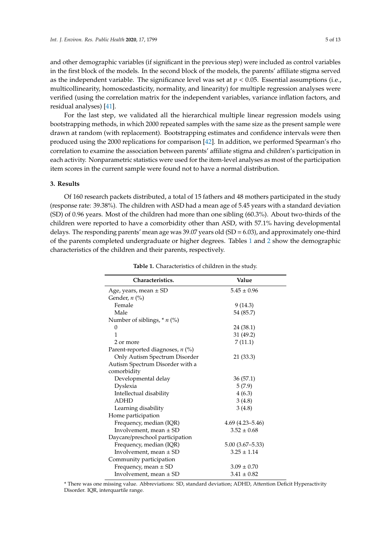and other demographic variables (if significant in the previous step) were included as control variables in the first block of the models. In the second block of the models, the parents' affiliate stigma served as the independent variable. The significance level was set at  $p < 0.05$ . Essential assumptions (i.e., multicollinearity, homoscedasticity, normality, and linearity) for multiple regression analyses were verified (using the correlation matrix for the independent variables, variance inflation factors, and residual analyses) [\[41\]](#page-12-1).

For the last step, we validated all the hierarchical multiple linear regression models using bootstrapping methods, in which 2000 repeated samples with the same size as the present sample were drawn at random (with replacement). Bootstrapping estimates and confidence intervals were then produced using the 2000 replications for comparison [\[42\]](#page-12-2). In addition, we performed Spearman's rho correlation to examine the association between parents' affiliate stigma and children's participation in each activity. Nonparametric statistics were used for the item-level analyses as most of the participation item scores in the current sample were found not to have a normal distribution.

## **3. Results**

Of 160 research packets distributed, a total of 15 fathers and 48 mothers participated in the study (response rate: 39.38%). The children with ASD had a mean age of 5.45 years with a standard deviation (SD) of 0.96 years. Most of the children had more than one sibling (60.3%). About two-thirds of the children were reported to have a comorbidity other than ASD, with 57.1% having developmental delays. The responding parents' mean age was 39.07 years old (SD = 6.03), and approximately one-third of the parents completed undergraduate or higher degrees. Tables [1](#page-4-0) and [2](#page-5-0) show the demographic characteristics of the children and their parents, respectively.

<span id="page-4-0"></span>

| Characteristics.                     | Value               |
|--------------------------------------|---------------------|
| Age, years, mean $\pm$ SD            | $5.45 \pm 0.96$     |
| Gender, $n$ (%)                      |                     |
| Female                               | 9(14.3)             |
| Male                                 | 54 (85.7)           |
| Number of siblings, $*$ <i>n</i> (%) |                     |
| 0                                    | 24 (38.1)           |
| 1                                    | 31 (49.2)           |
| 2 or more                            | 7(11.1)             |
| Parent-reported diagnoses, $n$ (%)   |                     |
| Only Autism Spectrum Disorder        | 21 (33.3)           |
| Autism Spectrum Disorder with a      |                     |
| comorbidity                          |                     |
| Developmental delay                  | 36 (57.1)           |
| Dyslexia                             | 5(7.9)              |
| Intellectual disability              | 4(6.3)              |
| <b>ADHD</b>                          | 3(4.8)              |
| Learning disability                  | 3(4.8)              |
| Home participation                   |                     |
| Frequency, median (IQR)              | $4.69(4.23 - 5.46)$ |
| Involvement, mean $\pm$ SD           | $3.52 \pm 0.68$     |
| Daycare/preschool participation      |                     |
| Frequency, median (IQR)              | $5.00(3.67 - 5.33)$ |
| Involvement, mean ± SD               | $3.25 \pm 1.14$     |
| Community participation              |                     |
| Frequency, mean $\pm$ SD             | $3.09 \pm 0.70$     |
| Involvement, mean $\pm$ SD           | $3.41 \pm 0.82$     |

**Table 1.** Characteristics of children in the study.

\* There was one missing value. Abbreviations: SD, standard deviation; ADHD, Attention Deficit Hyperactivity Disorder. IQR, interquartile range.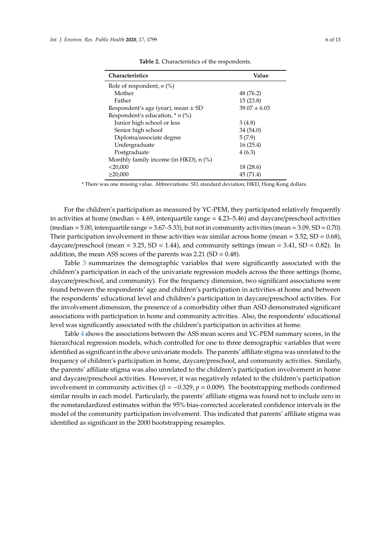<span id="page-5-0"></span>

| <b>Characteristics</b>                      | Value            |
|---------------------------------------------|------------------|
| Role of respondent, $n$ (%)                 |                  |
| Mother                                      | 48 (76.2)        |
| Father                                      | 15(23.8)         |
| Respondent's age (year), mean $\pm$ SD      | $39.07 \pm 6.03$ |
| Respondent's education, $*$ <i>n</i> $(\%)$ |                  |
| Junior high school or less                  | 3(4.8)           |
| Senior high school                          | 34 (54.0)        |
| Diploma/associate degree                    | 5(7.9)           |
| Undergraduate                               | 16(25.4)         |
| Postgraduate                                | 4(6.3)           |
| Monthly family income (in HKD), $n$ (%)     |                  |
| $<$ 20,000                                  | 18(28.6)         |
| $\geq$ 20,000                               | 45 (71.4)        |
|                                             |                  |

**Table 2.** Characteristics of the respondents.

\* There was one missing value. Abbreviations: SD, standard deviation; HKD, Hong Kong dollars.

For the children's participation as measured by YC-PEM, they participated relatively frequently in activities at home (median  $= 4.69$ , interquartile range  $= 4.23 - 5.46$ ) and daycare/preschool activities (median  $= 5.00$ , interquartile range  $= 3.67 - 5.33$ ), but not in community activities (mean  $= 3.09$ , SD  $= 0.70$ ). Their participation involvement in these activities was similar across home (mean  $= 3.52$ , SD  $= 0.68$ ), daycare/preschool (mean = 3.25, SD = 1.44), and community settings (mean = 3.41, SD = 0.82). In addition, the mean ASS scores of the parents was  $2.21$  (SD =  $0.48$ ).

Table [3](#page-6-0) summarizes the demographic variables that were significantly associated with the children's participation in each of the univariate regression models across the three settings (home, daycare/preschool, and community). For the frequency dimension, two significant associations were found between the respondents' age and children's participation in activities at home and between the respondents' educational level and children's participation in daycare/preschool activities. For the involvement dimension, the presence of a comorbidity other than ASD demonstrated significant associations with participation in home and community activities. Also, the respondents' educational level was significantly associated with the children's participation in activities at home.

Table [4](#page-6-1) shows the associations between the ASS mean scores and YC-PEM summary scores, in the hierarchical regression models, which controlled for one to three demographic variables that were identified as significant in the above univariate models. The parents' affiliate stigma was unrelated to the frequency of children's participation in home, daycare/preschool, and community activities. Similarly, the parents' affiliate stigma was also unrelated to the children's participation involvement in home and daycare/preschool activities. However, it was negatively related to the children's participation involvement in community activities ( $β = -0.329$ ,  $p = 0.009$ ). The bootstrapping methods confirmed similar results in each model. Particularly, the parents' affiliate stigma was found not to include zero in the nonstandardized estimates within the 95% bias-corrected accelerated confidence intervals in the model of the community participation involvement. This indicated that parents' affiliate stigma was identified as significant in the 2000 bootstrapping resamples.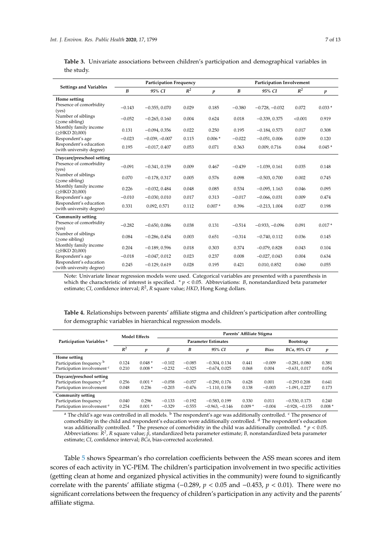|                                                    |                  | <b>Participation Frequency</b> |       |                  | Participation Involvement |                  |         |                  |
|----------------------------------------------------|------------------|--------------------------------|-------|------------------|---------------------------|------------------|---------|------------------|
| <b>Settings and Variables</b>                      | $\boldsymbol{B}$ | 95% CI                         | $R^2$ | $\boldsymbol{p}$ | $\boldsymbol{B}$          | 95% CI           | $R^2$   | $\boldsymbol{p}$ |
| Home setting                                       |                  |                                |       |                  |                           |                  |         |                  |
| Presence of comorbidity<br>(yes)                   | $-0.143$         | $-0.355, 0.070$                | 0.029 | 0.185            | $-0.380$                  | $-0.728, -0.032$ | 0.072   | $0.033*$         |
| Number of siblings<br>$(\geq)one}$ sibling)        | $-0.052$         | $-0.265, 0.160$                | 0.004 | 0.624            | 0.018                     | $-0.339, 0.375$  | < 0.001 | 0.919            |
| Monthly family income<br>$(\geq$ HKD 20,000)       | 0.131            | $-0.094, 0.356$                | 0.022 | 0.250            | 0.195                     | $-0.184, 0.573$  | 0.017   | 0.308            |
| Respondent's age                                   | $-0.023$         | $-0.039, -0.007$               | 0.115 | $0.006*$         | $-0.022$                  | $-0.051, 0.006$  | 0.039   | 0.120            |
| Respondent's education<br>(with university degree) | 0.195            | $-0.017, 0.407$                | 0.053 | 0.071            | 0.363                     | 0.009, 0.716     | 0.064   | $0.045*$         |
| Daycare/preschool setting                          |                  |                                |       |                  |                           |                  |         |                  |
| Presence of comorbidity<br>(yes)                   | $-0.091$         | $-0.341, 0.159$                | 0.009 | 0.467            | $-0.439$                  | $-1.039, 0.161$  | 0.035   | 0.148            |
| Number of siblings<br>$($ $\geq$ one sibling)      | 0.070            | $-0.178, 0.317$                | 0.005 | 0.576            | 0.098                     | $-0.503, 0.700$  | 0.002   | 0.745            |
| Monthly family income<br>$(\geq$ HKD 20,000)       | 0.226            | $-0.032, 0.484$                | 0.048 | 0.085            | 0.534                     | $-0.095, 1.163$  | 0.046   | 0.095            |
| Respondent's age                                   | $-0.010$         | $-0.030, 0.010$                | 0.017 | 0.313            | $-0.017$                  | $-0.066, 0.031$  | 0.009   | 0.474            |
| Respondent's education<br>(with university degree) | 0.331            | 0.092, 0.571                   | 0.112 | $0.007*$         | 0.396                     | $-0.213, 1.004$  | 0.027   | 0.198            |
| <b>Community setting</b>                           |                  |                                |       |                  |                           |                  |         |                  |
| Presence of comorbidity<br>(yes)                   | $-0.282$         | $-0.650, 0.086$                | 0.038 | 0.131            | $-0.514$                  | $-0.933, -0.096$ | 0.091   | $0.017*$         |
| Number of siblings<br>$(\geq$ one sibling)         | 0.084            | $-0.286, 0.454$                | 0.003 | 0.651            | $-0.314$                  | $-0.740, 0.112$  | 0.036   | 0.145            |
| Monthly family income<br>$(\geq$ HKD 20,000)       | 0.204            | $-0.189, 0.596$                | 0.018 | 0.303            | 0.374                     | $-0.079, 0.828$  | 0.043   | 0.104            |
| Respondent's age                                   | $-0.018$         | $-0.047, 0.012$                | 0.023 | 0.237            | 0.008                     | $-0.027, 0.043$  | 0.004   | 0.634            |
| Respondent's education<br>(with university degree) | 0.245            | $-0.129, 0.619$                | 0.028 | 0.195            | 0.421                     | 0.010, 0.852     | 0.060   | 0.055            |

<span id="page-6-0"></span>**Table 3.** Univariate associations between children's participation and demographical variables in the study.

Note: Univariate linear regression models were used. Categorical variables are presented with a parenthesis in which the characteristic of interest is specified. *\* p* < 0.05. Abbreviations: *B*, nonstandardized beta parameter estimate; *CI*, confidence interval; *R* 2 , *R* square value; *HKD*, Hong Kong dollars.

<span id="page-6-1"></span>**Table 4.** Relationships between parents' affiliate stigma and children's participation after controlling for demographic variables in hierarchical regression models.

|                                        | <b>Model Effects</b> |          | Parents' Affiliate Stigma  |          |                  |          |                  |                    |          |
|----------------------------------------|----------------------|----------|----------------------------|----------|------------------|----------|------------------|--------------------|----------|
| Participation Variables <sup>a</sup>   |                      |          | <b>Parameter Estimates</b> |          |                  |          | <b>Bootstrap</b> |                    |          |
|                                        | $R^2$                | p        | $\beta$                    | B        | 95% CI           | p        | <b>Bias</b>      | <b>BCa, 95% CI</b> | p        |
| Home setting                           |                      |          |                            |          |                  |          |                  |                    |          |
| Participation frequency b              | 0.124                | $0.048*$ | $-0.102$                   | $-0.085$ | $-0.304, 0.134$  | 0.441    | $-0.009$         | $-0.281, 0.080$    | 0.381    |
| Participation involvement <sup>c</sup> | 0.210                | $0.008*$ | $-0.232$                   | $-0.325$ | $-0.674, 0.025$  | 0.068    | 0.004            | $-0.631, 0.017$    | 0.054    |
| Daycare/preschool setting              |                      |          |                            |          |                  |          |                  |                    |          |
| Participation frequency <sup>d</sup>   | 0.256                | $0.001*$ | $-0.058$                   | $-0.057$ | $-0.290.0176$    | 0.628    | 0.001            | $-0.293$ 0.208     | 0.641    |
| Participation involvement              | 0.048                | 0.236    | $-0.203$                   | $-0.476$ | $-1.110.0.158$   | 0.138    | $-0.003$         | $-1.091, 0.227$    | 0.173    |
| Community setting                      |                      |          |                            |          |                  |          |                  |                    |          |
| Participation frequency                | 0.040                | 0.296    | $-0.133$                   | $-0.192$ | $-0.583, 0.199$  | 0.330    | 0.011            | $-0.530, 0.173$    | 0.240    |
| Participation involvement <sup>e</sup> | 0.254                | $0.001*$ | $-0.329$                   | $-0.555$ | $-0.963, -0.146$ | $0.009*$ | $-0.004$         | $-0.928, -0.155$   | $0.008*$ |

<sup>a</sup> The child's age was controlled in all models. <sup>b</sup> The respondent's age was additionally controlled. <sup>c</sup> The presence of comorbidity in the child and respondent's education were additionally controlled. <sup>d</sup> The respondent's education was additionally controlled. <sup>e</sup> The presence of comorbidity in the child was additionally controlled.  $p < 0.05$ . Abbreviations: *R 2 , R* square value; β, standardized beta parameter estimate; *B,* nonstandardized beta parameter estimate; *CI*, confidence interval; *BCa*, bias-corrected accelerated.

Table [5](#page-7-0) shows Spearman's rho correlation coefficients between the ASS mean scores and item scores of each activity in YC-PEM. The children's participation involvement in two specific activities (getting clean at home and organized physical activities in the community) were found to significantly correlate with the parents' affiliate stigma (−0.289, *p* < 0.05 and −0.453, *p* < 0.01). There were no significant correlations between the frequency of children's participation in any activity and the parents' affiliate stigma.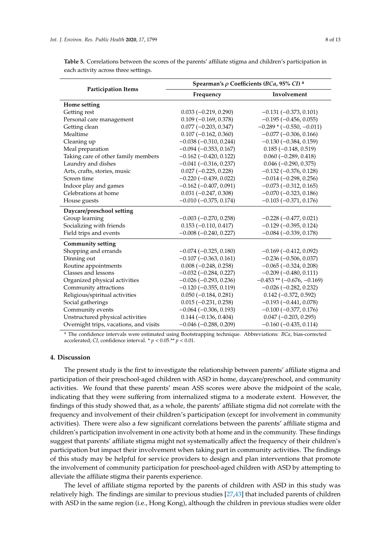|                                        | Spearman's $\rho$ Coefficients (BCa, 95% CI) <sup>a</sup> |                                |  |  |  |  |
|----------------------------------------|-----------------------------------------------------------|--------------------------------|--|--|--|--|
| <b>Participation Items</b>             | Frequency                                                 | Involvement                    |  |  |  |  |
| Home setting                           |                                                           |                                |  |  |  |  |
| Getting rest                           | $0.033(-0.219, 0.290)$                                    | $-0.131(-0.373, 0.101)$        |  |  |  |  |
| Personal care management               | $0.109$ ( $-0.169$ , $0.378$ )                            | $-0.195(-0.456, 0.055)$        |  |  |  |  |
| Getting clean                          | $0.077 (-0.203, 0.347)$                                   | $-0.289*(-0.550,-0.011)$       |  |  |  |  |
| Mealtime                               | $0.107 (-0.162, 0.360)$                                   | $-0.077$ ( $-0.306$ , 0.166)   |  |  |  |  |
| Cleaning up                            | $-0.038(-0.310, 0.244)$                                   | $-0.130(-0.384, 0.159)$        |  |  |  |  |
| Meal preparation                       | $-0.094(-0.353, 0.167)$                                   | $0.185(-0.148, 0.519)$         |  |  |  |  |
| Taking care of other family members    | $-0.162$ ( $-0.420$ , 0.122)                              | $0.060 (-0.289, 0.418)$        |  |  |  |  |
| Laundry and dishes                     | $-0.041$ $(-0.316, 0.237)$                                | $0.046 (-0.290, 0.375)$        |  |  |  |  |
| Arts, crafts, stories, music           | $0.027 (-0.225, 0.228)$                                   | $-0.132$ $(-0.376, 0.128)$     |  |  |  |  |
| Screen time                            | $-0.220(-0.439, 0.022)$                                   | $-0.014 (-0.298, 0.256)$       |  |  |  |  |
| Indoor play and games                  | $-0.162$ ( $-0.407$ , 0.091)                              | $-0.073(-0.312, 0.165)$        |  |  |  |  |
| Celebrations at home                   | $0.031 (-0.247, 0.308)$                                   | $-0.070(-0.323, 0.186)$        |  |  |  |  |
| House guests                           | $-0.010$ $(-0.375, 0.174)$                                | $-0.103$ $(-0.371, 0.176)$     |  |  |  |  |
| Daycare/preschool setting              |                                                           |                                |  |  |  |  |
| Group learning                         | $-0.003$ ( $-0.270$ , 0.258)                              | $-0.228(-0.477, 0.021)$        |  |  |  |  |
| Socializing with friends               | $0.153(-0.110, 0.417)$                                    | $-0.129(-0.395, 0.124)$        |  |  |  |  |
| Field trips and events                 | $-0.008$ $(-0.240, 0.227)$                                | $-0.084 (-0.339, 0.178)$       |  |  |  |  |
| <b>Community setting</b>               |                                                           |                                |  |  |  |  |
| Shopping and errands                   | $-0.074(-0.325, 0.180)$                                   | $-0.169$ ( $-0.412$ , 0.092)   |  |  |  |  |
| Dinning out                            | $-0.107$ ( $-0.363$ , 0.161)                              | $-0.236(-0.506, 0.037)$        |  |  |  |  |
| Routine appointments                   | $0.008 (-0.248, 0.258)$                                   | $-0.065(-0.324, 0.208)$        |  |  |  |  |
| Classes and lessons                    | $-0.032$ $(-0.284, 0.227)$                                | $-0.209$ $(-0.480, 0.111)$     |  |  |  |  |
| Organized physical activities          | $-0.026$ ( $-0.293$ , 0.236)                              | $-0.453$ ** $(-0.676, -0.169)$ |  |  |  |  |
| Community attractions                  | $-0.120$ $(-0.355, 0.119)$                                | $-0.026$ ( $-0.282$ , 0.232)   |  |  |  |  |
| Religious/spiritual activities         | $0.050(-0.184, 0.281)$                                    | $0.142 (-0.372, 0.592)$        |  |  |  |  |
| Social gatherings                      | $0.015 (-0.231, 0.258)$                                   | $-0.193 (-0.441, 0.078)$       |  |  |  |  |
| Community events                       | $-0.064$ ( $-0.306$ , 0.193)                              | $-0.100 (-0.377, 0.176)$       |  |  |  |  |
| Unstructured physical activities       | $0.144 (-0.136, 0.404)$                                   | $0.047$ (-0.203, 0.295)        |  |  |  |  |
| Overnight trips, vacations, and visits | $-0.046$ $(-0.288, 0.209)$                                | $-0.160$ ( $-0.435$ , 0.114)   |  |  |  |  |

<span id="page-7-0"></span>**Table 5.** Correlations between the scores of the parents' affiliate stigma and children's participation in each activity across three settings.

<sup>a</sup> The confidence intervals were estimated using Bootstrapping technique. Abbreviations: *BCa*, bias-corrected accelerated; *CI*, confidence interval.  $* p < 0.05.* p < 0.01$ .

## **4. Discussion**

The present study is the first to investigate the relationship between parents' affiliate stigma and participation of their preschool-aged children with ASD in home, daycare/preschool, and community activities. We found that these parents' mean ASS scores were above the midpoint of the scale, indicating that they were suffering from internalized stigma to a moderate extent. However, the findings of this study showed that, as a whole, the parents' affiliate stigma did not correlate with the frequency and involvement of their children's participation (except for involvement in community activities). There were also a few significant correlations between the parents' affiliate stigma and children's participation involvement in one activity both at home and in the community. These findings suggest that parents' affiliate stigma might not systematically affect the frequency of their children's participation but impact their involvement when taking part in community activities. The findings of this study may be helpful for service providers to design and plan interventions that promote the involvement of community participation for preschool-aged children with ASD by attempting to alleviate the affiliate stigma their parents experience.

The level of affiliate stigma reported by the parents of children with ASD in this study was relatively high. The findings are similar to previous studies [\[27,](#page-11-7)[43\]](#page-12-3) that included parents of children with ASD in the same region (i.e., Hong Kong), although the children in previous studies were older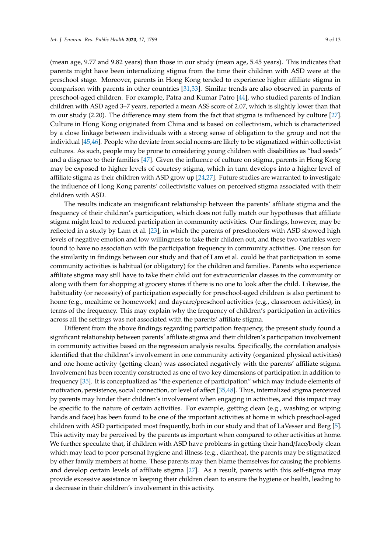(mean age, 9.77 and 9.82 years) than those in our study (mean age, 5.45 years). This indicates that parents might have been internalizing stigma from the time their children with ASD were at the preschool stage. Moreover, parents in Hong Kong tended to experience higher affiliate stigma in comparison with parents in other countries [\[31,](#page-11-18)[33\]](#page-11-11). Similar trends are also observed in parents of preschool-aged children. For example, Patra and Kumar Patro [\[44\]](#page-12-4), who studied parents of Indian children with ASD aged 3–7 years, reported a mean ASS score of 2.07, which is slightly lower than that in our study (2.20). The difference may stem from the fact that stigma is influenced by culture [\[27\]](#page-11-7). Culture in Hong Kong originated from China and is based on collectivism, which is characterized by a close linkage between individuals with a strong sense of obligation to the group and not the individual [\[45,](#page-12-5)[46\]](#page-12-6). People who deviate from social norms are likely to be stigmatized within collectivist cultures. As such, people may be prone to considering young children with disabilities as "bad seeds" and a disgrace to their families [\[47\]](#page-12-7). Given the influence of culture on stigma, parents in Hong Kong may be exposed to higher levels of courtesy stigma, which in turn develops into a higher level of affiliate stigma as their children with ASD grow up [\[24](#page-11-4)[,27\]](#page-11-7). Future studies are warranted to investigate the influence of Hong Kong parents' collectivistic values on perceived stigma associated with their children with ASD.

The results indicate an insignificant relationship between the parents' affiliate stigma and the frequency of their children's participation, which does not fully match our hypotheses that affiliate stigma might lead to reduced participation in community activities. Our findings, however, may be reflected in a study by Lam et al. [\[23\]](#page-11-3), in which the parents of preschoolers with ASD showed high levels of negative emotion and low willingness to take their children out, and these two variables were found to have no association with the participation frequency in community activities. One reason for the similarity in findings between our study and that of Lam et al. could be that participation in some community activities is habitual (or obligatory) for the children and families. Parents who experience affiliate stigma may still have to take their child out for extracurricular classes in the community or along with them for shopping at grocery stores if there is no one to look after the child. Likewise, the habituality (or necessity) of participation especially for preschool-aged children is also pertinent to home (e.g., mealtime or homework) and daycare/preschool activities (e.g., classroom activities), in terms of the frequency. This may explain why the frequency of children's participation in activities across all the settings was not associated with the parents' affiliate stigma.

Different from the above findings regarding participation frequency, the present study found a significant relationship between parents' affiliate stigma and their children's participation involvement in community activities based on the regression analysis results. Specifically, the correlation analysis identified that the children's involvement in one community activity (organized physical activities) and one home activity (getting clean) was associated negatively with the parents' affiliate stigma. Involvement has been recently constructed as one of two key dimensions of participation in addition to frequency [\[35\]](#page-11-13). It is conceptualized as "the experience of participation" which may include elements of motivation, persistence, social connection, or level of affect [\[35,](#page-11-13)[48\]](#page-12-8). Thus, internalized stigma perceived by parents may hinder their children's involvement when engaging in activities, and this impact may be specific to the nature of certain activities. For example, getting clean (e.g., washing or wiping hands and face) has been found to be one of the important activities at home in which preschool-aged children with ASD participated most frequently, both in our study and that of LaVesser and Berg [\[5\]](#page-10-4). This activity may be perceived by the parents as important when compared to other activities at home. We further speculate that, if children with ASD have problems in getting their hand/face/body clean which may lead to poor personal hygiene and illness (e.g., diarrhea), the parents may be stigmatized by other family members at home. These parents may then blame themselves for causing the problems and develop certain levels of affiliate stigma [\[27\]](#page-11-7). As a result, parents with this self-stigma may provide excessive assistance in keeping their children clean to ensure the hygiene or health, leading to a decrease in their children's involvement in this activity.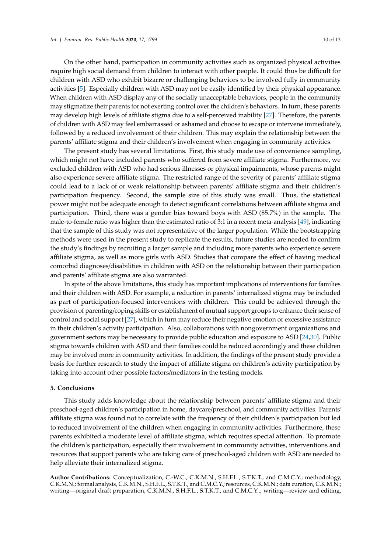On the other hand, participation in community activities such as organized physical activities require high social demand from children to interact with other people. It could thus be difficult for children with ASD who exhibit bizarre or challenging behaviors to be involved fully in community activities [\[5\]](#page-10-4). Especially children with ASD may not be easily identified by their physical appearance. When children with ASD display any of the socially unacceptable behaviors, people in the community may stigmatize their parents for not exerting control over the children's behaviors. In turn, these parents may develop high levels of affiliate stigma due to a self-perceived inability [\[27\]](#page-11-7). Therefore, the parents of children with ASD may feel embarrassed or ashamed and choose to escape or intervene immediately, followed by a reduced involvement of their children. This may explain the relationship between the parents' affiliate stigma and their children's involvement when engaging in community activities.

The present study has several limitations. First, this study made use of convenience sampling, which might not have included parents who suffered from severe affiliate stigma. Furthermore, we excluded children with ASD who had serious illnesses or physical impairments, whose parents might also experience severe affiliate stigma. The restricted range of the severity of parents' affiliate stigma could lead to a lack of or weak relationship between parents' affiliate stigma and their children's participation frequency. Second, the sample size of this study was small. Thus, the statistical power might not be adequate enough to detect significant correlations between affiliate stigma and participation. Third, there was a gender bias toward boys with ASD (85.7%) in the sample. The male-to-female ratio was higher than the estimated ratio of 3:1 in a recent meta-analysis [\[49\]](#page-12-9), indicating that the sample of this study was not representative of the larger population. While the bootstrapping methods were used in the present study to replicate the results, future studies are needed to confirm the study's findings by recruiting a larger sample and including more parents who experience severe affiliate stigma, as well as more girls with ASD. Studies that compare the effect of having medical comorbid diagnoses/disabilities in children with ASD on the relationship between their participation and parents' affiliate stigma are also warranted.

In spite of the above limitations, this study has important implications of interventions for families and their children with ASD. For example, a reduction in parents' internalized stigma may be included as part of participation-focused interventions with children. This could be achieved through the provision of parenting/coping skills or establishment of mutual support groups to enhance their sense of control and social support [\[27\]](#page-11-7), which in turn may reduce their negative emotion or excessive assistance in their children's activity participation. Also, collaborations with nongovernment organizations and government sectors may be necessary to provide public education and exposure to ASD [\[24](#page-11-4)[,30\]](#page-11-10). Public stigma towards children with ASD and their families could be reduced accordingly and these children may be involved more in community activities. In addition, the findings of the present study provide a basis for further research to study the impact of affiliate stigma on children's activity participation by taking into account other possible factors/mediators in the testing models.

## **5. Conclusions**

This study adds knowledge about the relationship between parents' affiliate stigma and their preschool-aged children's participation in home, daycare/preschool, and community activities. Parents' affiliate stigma was found not to correlate with the frequency of their children's participation but led to reduced involvement of the children when engaging in community activities. Furthermore, these parents exhibited a moderate level of affiliate stigma, which requires special attention. To promote the children's participation, especially their involvement in community activities, interventions and resources that support parents who are taking care of preschool-aged children with ASD are needed to help alleviate their internalized stigma.

**Author Contributions:** Conceptualization, C.-W.C., C.K.M.N., S.H.F.L., S.T.K.T., and C.M.C.Y.; methodology, C.K.M.N.; formal analysis, C.K.M.N., S.H.F.L., S.T.K.T., and C.M.C.Y.; resources, C.K.M.N.; data curation, C.K.M.N.; writing—original draft preparation, C.K.M.N., S.H.F.L., S.T.K.T., and C.M.C.Y..; writing—review and editing,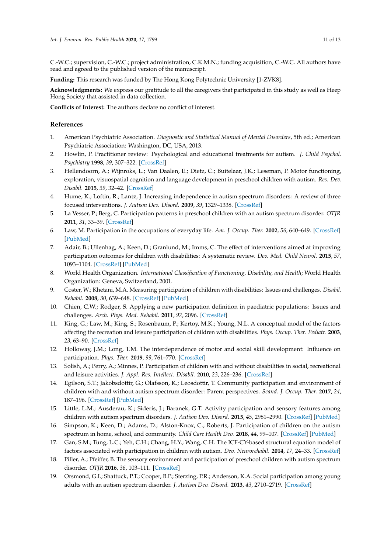C.-W.C.; supervision, C.-W.C.; project administration, C.K.M.N.; funding acquisition, C.-W.C. All authors have read and agreed to the published version of the manuscript.

**Funding:** This research was funded by The Hong Kong Polytechnic University [1-ZVK8].

**Acknowledgments:** We express our gratitude to all the caregivers that participated in this study as well as Heep Hong Society that assisted in data collection.

**Conflicts of Interest:** The authors declare no conflict of interest.

## **References**

- <span id="page-10-0"></span>1. American Psychiatric Association. *Diagnostic and Statistical Manual of Mental Disorders*, 5th ed.; American Psychiatric Association: Washington, DC, USA, 2013.
- <span id="page-10-1"></span>2. Howlin, P. Practitioner review: Psychological and educational treatments for autism. *J. Child Psychol. Psychiatry* **1998**, *39*, 307–322. [\[CrossRef\]](http://dx.doi.org/10.1017/S0021963097002138)
- <span id="page-10-2"></span>3. Hellendoorn, A.; Wijnroks, L.; Van Daalen, E.; Dietz, C.; Buitelaar, J.K.; Leseman, P. Motor functioning, exploration, visuospatial cognition and language development in preschool children with autism. *Res. Dev. Disabil.* **2015**, *39*, 32–42. [\[CrossRef\]](http://dx.doi.org/10.1016/j.ridd.2014.12.033)
- <span id="page-10-3"></span>4. Hume, K.; Loftin, R.; Lantz, J. Increasing independence in autism spectrum disorders: A review of three focused interventions. *J. Autism Dev. Disord.* **2009**, *39*, 1329–1338. [\[CrossRef\]](http://dx.doi.org/10.1007/s10803-009-0751-2)
- <span id="page-10-4"></span>5. La Vesser, P.; Berg, C. Participation patterns in preschool children with an autism spectrum disorder. *OTJR* **2011**, *31*, 33–39. [\[CrossRef\]](http://dx.doi.org/10.3928/15394492-20100823-01)
- <span id="page-10-5"></span>6. Law, M. Participation in the occupations of everyday life. *Am. J. Occup. Ther.* **2002**, *56*, 640–649. [\[CrossRef\]](http://dx.doi.org/10.5014/ajot.56.6.640) [\[PubMed\]](http://www.ncbi.nlm.nih.gov/pubmed/12458856)
- <span id="page-10-6"></span>7. Adair, B.; Ullenhag, A.; Keen, D.; Granlund, M.; Imms, C. The effect of interventions aimed at improving participation outcomes for children with disabilities: A systematic review. *Dev. Med. Child Neurol.* **2015**, *57*, 1093–1104. [\[CrossRef\]](http://dx.doi.org/10.1111/dmcn.12809) [\[PubMed\]](http://www.ncbi.nlm.nih.gov/pubmed/26010935)
- <span id="page-10-7"></span>8. World Health Organization. *International Classification of Functioning, Disability, and Health*; World Health Organization: Geneva, Switzerland, 2001.
- <span id="page-10-8"></span>9. Coster, W.; Khetani, M.A. Measuring participation of children with disabilities: Issues and challenges. *Disabil. Rehabil.* **2008**, *30*, 639–648. [\[CrossRef\]](http://dx.doi.org/10.1080/09638280701400375) [\[PubMed\]](http://www.ncbi.nlm.nih.gov/pubmed/17852316)
- <span id="page-10-9"></span>10. Chien, C.W.; Rodger, S. Applying a new participation definition in paediatric populations: Issues and challenges. *Arch. Phys. Med. Rehabil.* **2011**, *92*, 2096. [\[CrossRef\]](http://dx.doi.org/10.1016/j.apmr.2011.08.033)
- <span id="page-10-10"></span>11. King, G.; Law, M.; King, S.; Rosenbaum, P.; Kertoy, M.K.; Young, N.L. A conceptual model of the factors affecting the recreation and leisure participation of children with disabilities. *Phys. Occup. Ther. Pediatr.* **2003**, *23*, 63–90. [\[CrossRef\]](http://dx.doi.org/10.1080/J006v23n01_05)
- <span id="page-10-11"></span>12. Holloway, J.M.; Long, T.M. The interdependence of motor and social skill development: Influence on participation. *Phys. Ther.* **2019**, *99*, 761–770. [\[CrossRef\]](http://dx.doi.org/10.1093/ptj/pzz025)
- <span id="page-10-12"></span>13. Solish, A.; Perry, A.; Minnes, P. Participation of children with and without disabilities in social, recreational and leisure activities. *J. Appl. Res. Intellect. Disabil.* **2010**, *23*, 226–236. [\[CrossRef\]](http://dx.doi.org/10.1111/j.1468-3148.2009.00525.x)
- <span id="page-10-13"></span>14. Egilson, S.T.; Jakobsdottir, G.; Olafsson, K.; Leosdottir, T. Community participation and environment of children with and without autism spectrum disorder: Parent perspectives. *Scand. J. Occup. Ther.* **2017**, *24*, 187–196. [\[CrossRef\]](http://dx.doi.org/10.1080/11038128.2016.1198419) [\[PubMed\]](http://www.ncbi.nlm.nih.gov/pubmed/27329683)
- <span id="page-10-14"></span>15. Little, L.M.; Ausderau, K.; Sideris, J.; Baranek, G.T. Activity participation and sensory features among children with autism spectrum disorders. *J. Autism Dev. Disord.* **2015**, *45*, 2981–2990. [\[CrossRef\]](http://dx.doi.org/10.1007/s10803-015-2460-3) [\[PubMed\]](http://www.ncbi.nlm.nih.gov/pubmed/25975628)
- <span id="page-10-16"></span>16. Simpson, K.; Keen, D.; Adams, D.; Alston-Knox, C.; Roberts, J. Participation of children on the autism spectrum in home, school, and community. *Child Care Health Dev.* **2018**, *44*, 99–107. [\[CrossRef\]](http://dx.doi.org/10.1111/cch.12483) [\[PubMed\]](http://www.ncbi.nlm.nih.gov/pubmed/28664633)
- 17. Gan, S.M.; Tung, L.C.; Yeh, C.H.; Chang, H.Y.; Wang, C.H. The ICF-CY-based structural equation model of factors associated with participation in children with autism. *Dev. Neurorehabil.* **2014**, *17*, 24–33. [\[CrossRef\]](http://dx.doi.org/10.3109/17518423.2013.835357)
- 18. Piller, A.; Pfeiffer, B. The sensory environment and participation of preschool children with autism spectrum disorder. *OTJR* **2016**, *36*, 103–111. [\[CrossRef\]](http://dx.doi.org/10.1177/1539449216665116)
- <span id="page-10-15"></span>19. Orsmond, G.I.; Shattuck, P.T.; Cooper, B.P.; Sterzing, P.R.; Anderson, K.A. Social participation among young adults with an autism spectrum disorder. *J. Autism Dev. Disord.* **2013**, *43*, 2710–2719. [\[CrossRef\]](http://dx.doi.org/10.1007/s10803-013-1833-8)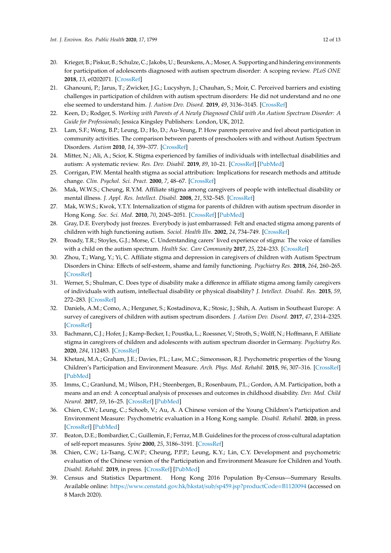- <span id="page-11-0"></span>20. Krieger, B.; Piskur, B.; Schulze, C.; Jakobs, U.; Beurskens, A.; Moser, A. Supporting and hindering environments for participation of adolescents diagnosed with autism spectrum disorder: A scoping review. *PLoS ONE* **2018**, *13*, e0202071. [\[CrossRef\]](http://dx.doi.org/10.1371/journal.pone.0202071)
- <span id="page-11-1"></span>21. Ghanouni, P.; Jarus, T.; Zwicker, J.G.; Lucyshyn, J.; Chauhan, S.; Moir, C. Perceived barriers and existing challenges in participation of children with autism spectrum disorders: He did not understand and no one else seemed to understand him. *J. Autism Dev. Disord.* **2019**, *49*, 3136–3145. [\[CrossRef\]](http://dx.doi.org/10.1007/s10803-019-04036-7)
- <span id="page-11-2"></span>22. Keen, D.; Rodger, S. *Working with Parents of A Newly Diagnosed Child with An Autism Spectrum Disorder: A Guide for Professionals*; Jessica Kingsley Publishers: London, UK, 2012.
- <span id="page-11-3"></span>23. Lam, S.F.; Wong, B.P.; Leung, D.; Ho, D.; Au-Yeung, P. How parents perceive and feel about participation in community activities. The comparison between parents of preschoolers with and without Autism Spectrum Disorders. *Autism* **2010**, *14*, 359–377. [\[CrossRef\]](http://dx.doi.org/10.1177/1362361309346558)
- <span id="page-11-4"></span>24. Mitter, N.; Ali, A.; Scior, K. Stigma experienced by families of individuals with intellectual disabilities and autism: A systematic review. *Res. Dev. Disabil.* **2019**, *89*, 10–21. [\[CrossRef\]](http://dx.doi.org/10.1016/j.ridd.2019.03.001) [\[PubMed\]](http://www.ncbi.nlm.nih.gov/pubmed/30875608)
- <span id="page-11-5"></span>25. Corrigan, P.W. Mental health stigma as social attribution: Implications for research methods and attitude change. *Clin. Psychol. Sci. Pract.* **2000**, *7*, 48–67. [\[CrossRef\]](http://dx.doi.org/10.1093/clipsy.7.1.48)
- <span id="page-11-6"></span>26. Mak, W.W.S.; Cheung, R.Y.M. Affiliate stigma among caregivers of people with intellectual disability or mental illness. *J. Appl. Res. Intellect. Disabil.* **2008**, *21*, 532–545. [\[CrossRef\]](http://dx.doi.org/10.1111/j.1468-3148.2008.00426.x)
- <span id="page-11-7"></span>27. Mak, W.W.S.; Kwok, Y.T.Y. Internalization of stigma for parents of children with autism spectrum disorder in Hong Kong. *Soc. Sci. Med.* **2010**, *70*, 2045–2051. [\[CrossRef\]](http://dx.doi.org/10.1016/j.socscimed.2010.02.023) [\[PubMed\]](http://www.ncbi.nlm.nih.gov/pubmed/20362379)
- <span id="page-11-8"></span>28. Gray, D.E. Everybody just freezes. Everybody is just embarrassed: Felt and enacted stigma among parents of children with high functioning autism. *Sociol. Health Illn.* **2002**, *24*, 734–749. [\[CrossRef\]](http://dx.doi.org/10.1111/1467-9566.00316)
- <span id="page-11-9"></span>29. Broady, T.R.; Stoyles, G.J.; Morse, C. Understanding carers' lived experience of stigma: The voice of families with a child on the autism spectrum. *Health Soc. Care Community* **2017**, *25*, 224–233. [\[CrossRef\]](http://dx.doi.org/10.1111/hsc.12297)
- <span id="page-11-10"></span>30. Zhou, T.; Wang, Y.; Yi, C. Affiliate stigma and depression in caregivers of children with Autism Spectrum Disorders in China: Effects of self-esteem, shame and family functioning. *Psychiatry Res.* **2018**, *264*, 260–265. [\[CrossRef\]](http://dx.doi.org/10.1016/j.psychres.2018.03.071)
- <span id="page-11-18"></span>31. Werner, S.; Shulman, C. Does type of disability make a difference in affiliate stigma among family caregivers of individuals with autism, intellectual disability or physical disability? *J. Intellect. Disabil. Res.* **2015**, *59*, 272–283. [\[CrossRef\]](http://dx.doi.org/10.1111/jir.12136)
- 32. Daniels, A.M.; Como, A.; Herguner, S.; Kostadinova, K.; Stosic, J.; Shih, A. Autism in Southeast Europe: A survey of caregivers of children with autism spectrum disorders. *J. Autism Dev. Disord.* **2017**, *47*, 2314–2325. [\[CrossRef\]](http://dx.doi.org/10.1007/s10803-017-3145-x)
- <span id="page-11-11"></span>33. Bachmann, C.J.; Hofer, J.; Kamp-Becker, I.; Poustka, L.; Roessner, V.; Stroth, S.; Wolff, N.; Hoffmann, F. Affiliate stigma in caregivers of children and adolescents with autism spectrum disorder in Germany. *Psychiatry Res.* **2020**, *284*, 112483. [\[CrossRef\]](http://dx.doi.org/10.1016/j.psychres.2019.112483)
- <span id="page-11-12"></span>34. Khetani, M.A.; Graham, J.E.; Davies, P.L.; Law, M.C.; Simeonsson, R.J. Psychometric properties of the Young Children's Participation and Environment Measure. *Arch. Phys. Med. Rehabil.* **2015**, *96*, 307–316. [\[CrossRef\]](http://dx.doi.org/10.1016/j.apmr.2014.09.031) [\[PubMed\]](http://www.ncbi.nlm.nih.gov/pubmed/25449189)
- <span id="page-11-13"></span>35. Imms, C.; Granlund, M.; Wilson, P.H.; Steenbergen, B.; Rosenbaum, P.L.; Gordon, A.M. Participation, both a means and an end: A conceptual analysis of processes and outcomes in childhood disability. *Dev. Med. Child Neurol.* **2017**, *59*, 16–25. [\[CrossRef\]](http://dx.doi.org/10.1111/dmcn.13237) [\[PubMed\]](http://www.ncbi.nlm.nih.gov/pubmed/27640996)
- <span id="page-11-14"></span>36. Chien, C.W.; Leung, C.; Schoeb, V.; Au, A. A Chinese version of the Young Children's Participation and Environment Measure: Psychometric evaluation in a Hong Kong sample. *Disabil. Rehabil.* **2020**, in press. [\[CrossRef\]](http://dx.doi.org/10.1080/09638288.2020.1727032) [\[PubMed\]](http://www.ncbi.nlm.nih.gov/pubmed/32096426)
- <span id="page-11-15"></span>37. Beaton, D.E.; Bombardier, C.; Guillemin, F.; Ferraz, M.B. Guidelines for the process of cross-cultural adaptation of self-report measures. *Spine* **2000**, *25*, 3186–3191. [\[CrossRef\]](http://dx.doi.org/10.1097/00007632-200012150-00014)
- <span id="page-11-16"></span>38. Chien, C.W.; Li-Tsang, C.W.P.; Cheung, P.P.P.; Leung, K.Y.; Lin, C.Y. Development and psychometric evaluation of the Chinese version of the Participation and Environment Measure for Children and Youth. *Disabil. Rehabil.* **2019**, in press. [\[CrossRef\]](http://dx.doi.org/10.1080/09638288.2018.1553210) [\[PubMed\]](http://www.ncbi.nlm.nih.gov/pubmed/31081396)
- <span id="page-11-17"></span>39. Census and Statistics Department. Hong Kong 2016 Population By-Census—Summary Results. Available online: https://www.censtatd.gov.hk/hkstat/sub/[sp459.jsp?productCode](https://www.censtatd.gov.hk/hkstat/sub/sp459.jsp?productCode=B1120094)=B1120094 (accessed on 8 March 2020).